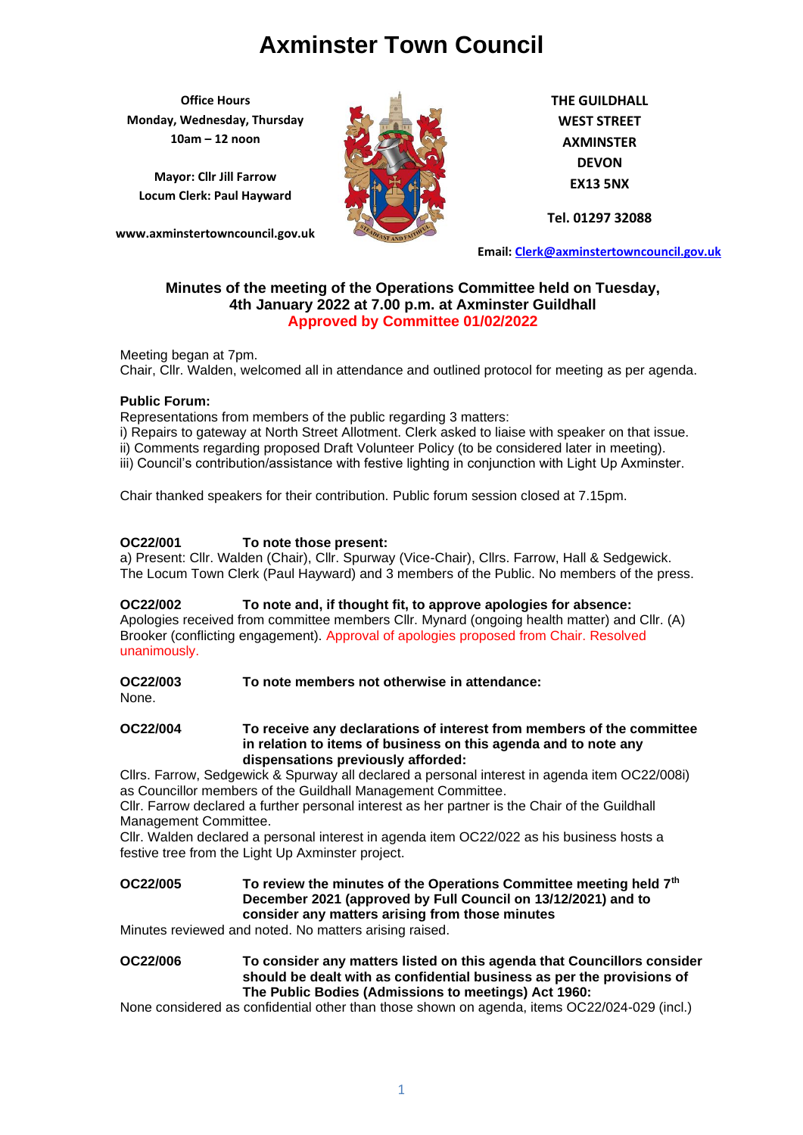**Office Hours Monday, Wednesday, Thursday 10am – 12 noon**

**Mayor: Cllr Jill Farrow Locum Clerk: Paul Hayward**

**www.axminstertowncouncil.gov.uk**



**THE GUILDHALL WEST STREET AXMINSTER DEVON EX13 5NX**

**Tel. 01297 32088**

**Email: [Clerk@axminstertowncouncil.gov.uk](file://///axm-svr-1/company/Templates/Clerk@axminstertowncouncil.gov.uk)**

## **Minutes of the meeting of the Operations Committee held on Tuesday, 4th January 2022 at 7.00 p.m. at Axminster Guildhall Approved by Committee 01/02/2022**

Chair, Cllr. Walden, welcomed all in attendance and outlined protocol for meeting as per agenda. Meeting began at 7pm.

### **Public Forum:**

Representations from members of the public regarding 3 matters:

i) Repairs to gateway at North Street Allotment. Clerk asked to liaise with speaker on that issue. ii) Comments regarding proposed Draft Volunteer Policy (to be considered later in meeting). iii) Council's contribution/assistance with festive lighting in conjunction with Light Up Axminster.

Chair thanked speakers for their contribution. Public forum session closed at 7.15pm.

### **OC22/001 To note those present:**

a) Present: Cllr. Walden (Chair), Cllr. Spurway (Vice-Chair), Cllrs. Farrow, Hall & Sedgewick. The Locum Town Clerk (Paul Hayward) and 3 members of the Public. No members of the press.

**OC22/002 To note and, if thought fit, to approve apologies for absence:** Apologies received from committee members Cllr. Mynard (ongoing health matter) and Cllr. (A) Brooker (conflicting engagement). Approval of apologies proposed from Chair. Resolved unanimously.

**OC22/003 To note members not otherwise in attendance:**

None.

**OC22/004 To receive any declarations of interest from members of the committee in relation to items of business on this agenda and to note any dispensations previously afforded:**

Cllrs. Farrow, Sedgewick & Spurway all declared a personal interest in agenda item OC22/008i) as Councillor members of the Guildhall Management Committee.

Cllr. Farrow declared a further personal interest as her partner is the Chair of the Guildhall Management Committee.

Cllr. Walden declared a personal interest in agenda item OC22/022 as his business hosts a festive tree from the Light Up Axminster project.

## **OC22/005 To review the minutes of the Operations Committee meeting held 7th December 2021 (approved by Full Council on 13/12/2021) and to consider any matters arising from those minutes**

Minutes reviewed and noted. No matters arising raised.

**OC22/006 To consider any matters listed on this agenda that Councillors consider should be dealt with as confidential business as per the provisions of The Public Bodies (Admissions to meetings) Act 1960:**

None considered as confidential other than those shown on agenda, items OC22/024-029 (incl.)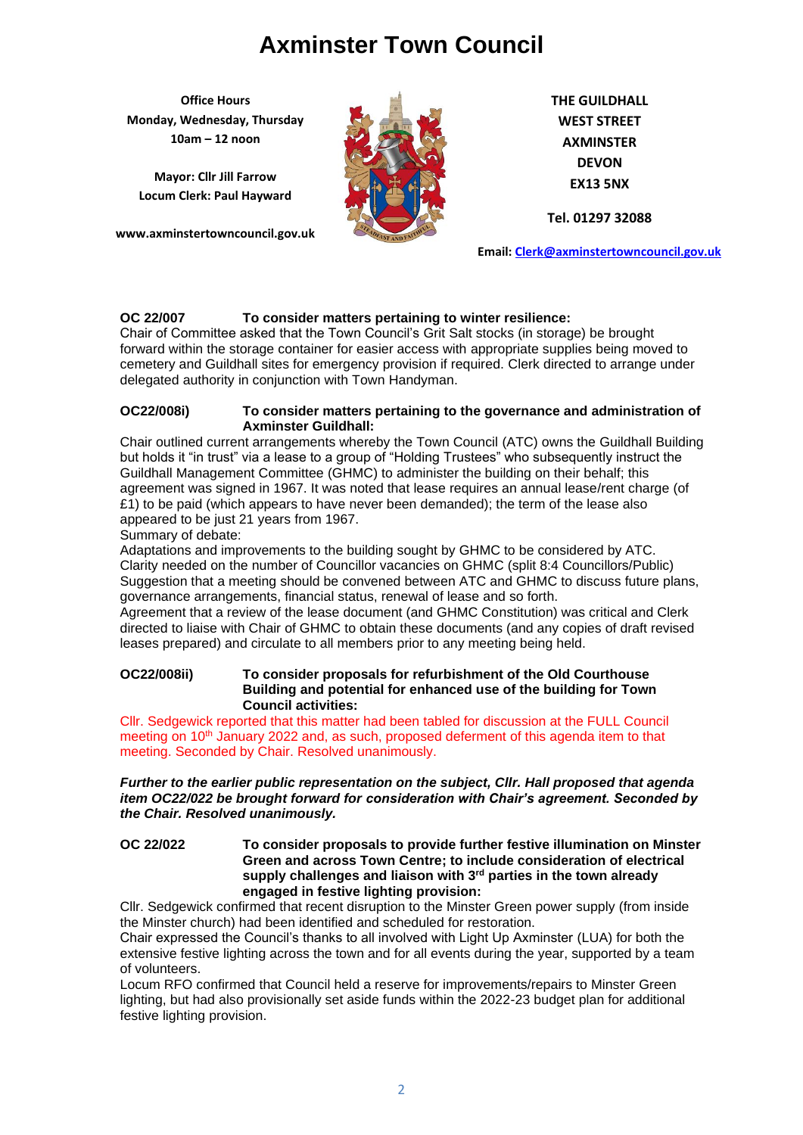**Office Hours Monday, Wednesday, Thursday 10am – 12 noon**

**Mayor: Cllr Jill Farrow Locum Clerk: Paul Hayward**

**www.axminstertowncouncil.gov.uk**



**THE GUILDHALL WEST STREET AXMINSTER DEVON EX13 5NX**

**Tel. 01297 32088**

**Email: [Clerk@axminstertowncouncil.gov.uk](file://///axm-svr-1/company/Templates/Clerk@axminstertowncouncil.gov.uk)**

## **OC 22/007 To consider matters pertaining to winter resilience:**

cemetery and Guildhall sites for emergency provision if required. Clerk directed to arrange under<br>delegated authority in conjunction with Town Handyman Chair of Committee asked that the Town Council's Grit Salt stocks (in storage) be brought forward within the storage container for easier access with appropriate supplies being moved to delegated authority in conjunction with Town Handyman.

#### **OC22/008i) To consider matters pertaining to the governance and administration of Axminster Guildhall:**

Chair outlined current arrangements whereby the Town Council (ATC) owns the Guildhall Building but holds it "in trust" via a lease to a group of "Holding Trustees" who subsequently instruct the Guildhall Management Committee (GHMC) to administer the building on their behalf; this agreement was signed in 1967. It was noted that lease requires an annual lease/rent charge (of  $£1$ ) to be paid (which appears to have never been demanded); the term of the lease also appeared to be just 21 years from 1967.

Summary of debate:

Adaptations and improvements to the building sought by GHMC to be considered by ATC. Clarity needed on the number of Councillor vacancies on GHMC (split 8:4 Councillors/Public) Suggestion that a meeting should be convened between ATC and GHMC to discuss future plans, governance arrangements, financial status, renewal of lease and so forth.

Agreement that a review of the lease document (and GHMC Constitution) was critical and Clerk directed to liaise with Chair of GHMC to obtain these documents (and any copies of draft revised leases prepared) and circulate to all members prior to any meeting being held.

### **OC22/008ii) To consider proposals for refurbishment of the Old Courthouse Building and potential for enhanced use of the building for Town Council activities:**

Cllr. Sedgewick reported that this matter had been tabled for discussion at the FULL Council meeting on 10<sup>th</sup> January 2022 and, as such, proposed deferment of this agenda item to that meeting. Seconded by Chair. Resolved unanimously.

### *Further to the earlier public representation on the subject, Cllr. Hall proposed that agenda item OC22/022 be brought forward for consideration with Chair's agreement. Seconded by the Chair. Resolved unanimously.*

**OC 22/022 To consider proposals to provide further festive illumination on Minster Green and across Town Centre; to include consideration of electrical supply challenges and liaison with 3rd parties in the town already engaged in festive lighting provision:**

Cllr. Sedgewick confirmed that recent disruption to the Minster Green power supply (from inside the Minster church) had been identified and scheduled for restoration.

Chair expressed the Council's thanks to all involved with Light Up Axminster (LUA) for both the extensive festive lighting across the town and for all events during the year, supported by a team of volunteers.

Locum RFO confirmed that Council held a reserve for improvements/repairs to Minster Green lighting, but had also provisionally set aside funds within the 2022-23 budget plan for additional festive lighting provision.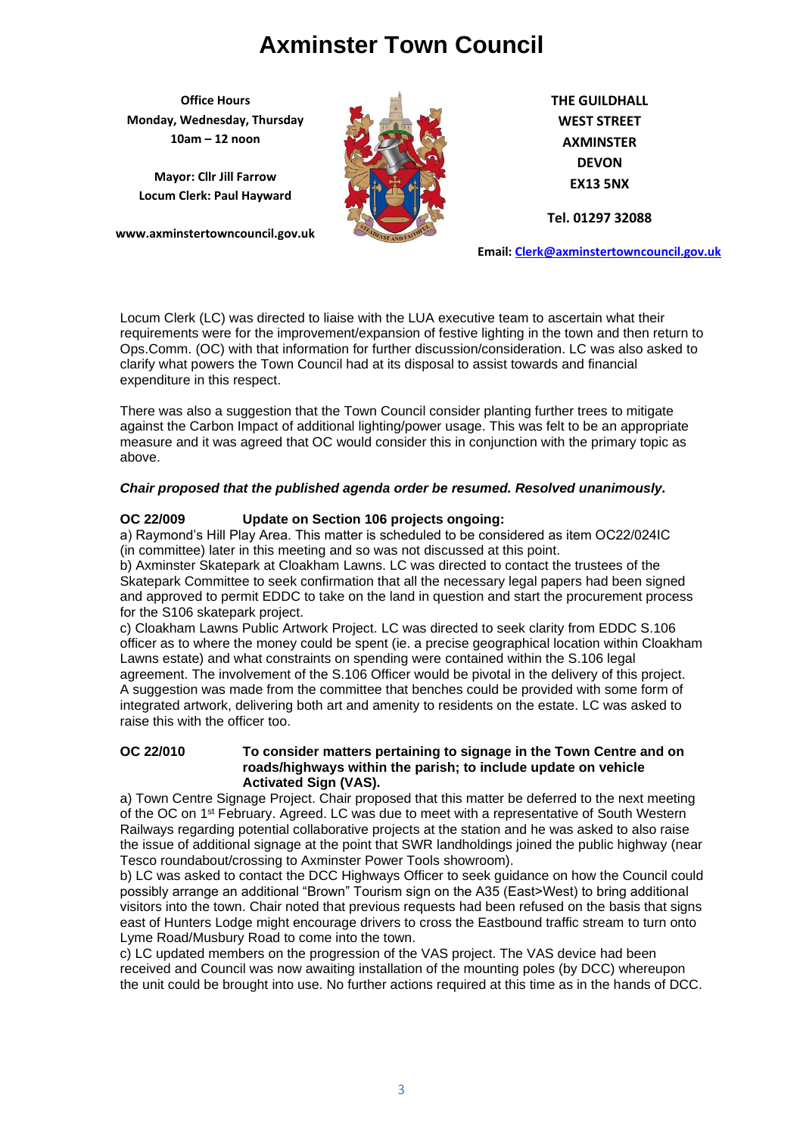**Office Hours Monday, Wednesday, Thursday 10am – 12 noon**

**Mayor: Cllr Jill Farrow Locum Clerk: Paul Hayward**

**www.axminstertowncouncil.gov.uk**



**THE GUILDHALL WEST STREET AXMINSTER DEVON EX13 5NX**

**Tel. 01297 32088**

**Email: [Clerk@axminstertowncouncil.gov.uk](file://///axm-svr-1/company/Templates/Clerk@axminstertowncouncil.gov.uk)**

clarify what powers the Town Council had at its disposal to assist towards and financial<br>expenditure in this respect Locum Clerk (LC) was directed to liaise with the LUA executive team to ascertain what their requirements were for the improvement/expansion of festive lighting in the town and then return to Ops.Comm. (OC) with that information for further discussion/consideration. LC was also asked to expenditure in this respect.

There was also a suggestion that the Town Council consider planting further trees to mitigate against the Carbon Impact of additional lighting/power usage. This was felt to be an appropriate measure and it was agreed that OC would consider this in conjunction with the primary topic as above.

## *Chair proposed that the published agenda order be resumed. Resolved unanimously.*

### **OC 22/009 Update on Section 106 projects ongoing:**

a) Raymond's Hill Play Area. This matter is scheduled to be considered as item OC22/024IC (in committee) later in this meeting and so was not discussed at this point.

b) Axminster Skatepark at Cloakham Lawns. LC was directed to contact the trustees of the Skatepark Committee to seek confirmation that all the necessary legal papers had been signed and approved to permit EDDC to take on the land in question and start the procurement process for the S106 skatepark project.

c) Cloakham Lawns Public Artwork Project. LC was directed to seek clarity from EDDC S.106 officer as to where the money could be spent (ie. a precise geographical location within Cloakham Lawns estate) and what constraints on spending were contained within the S.106 legal agreement. The involvement of the S.106 Officer would be pivotal in the delivery of this project. A suggestion was made from the committee that benches could be provided with some form of integrated artwork, delivering both art and amenity to residents on the estate. LC was asked to raise this with the officer too.

#### **OC 22/010 To consider matters pertaining to signage in the Town Centre and on roads/highways within the parish; to include update on vehicle Activated Sign (VAS).**

a) Town Centre Signage Project. Chair proposed that this matter be deferred to the next meeting of the OC on 1st February. Agreed. LC was due to meet with a representative of South Western Railways regarding potential collaborative projects at the station and he was asked to also raise the issue of additional signage at the point that SWR landholdings joined the public highway (near Tesco roundabout/crossing to Axminster Power Tools showroom).

b) LC was asked to contact the DCC Highways Officer to seek guidance on how the Council could possibly arrange an additional "Brown" Tourism sign on the A35 (East>West) to bring additional visitors into the town. Chair noted that previous requests had been refused on the basis that signs east of Hunters Lodge might encourage drivers to cross the Eastbound traffic stream to turn onto Lyme Road/Musbury Road to come into the town.

c) LC updated members on the progression of the VAS project. The VAS device had been received and Council was now awaiting installation of the mounting poles (by DCC) whereupon the unit could be brought into use. No further actions required at this time as in the hands of DCC.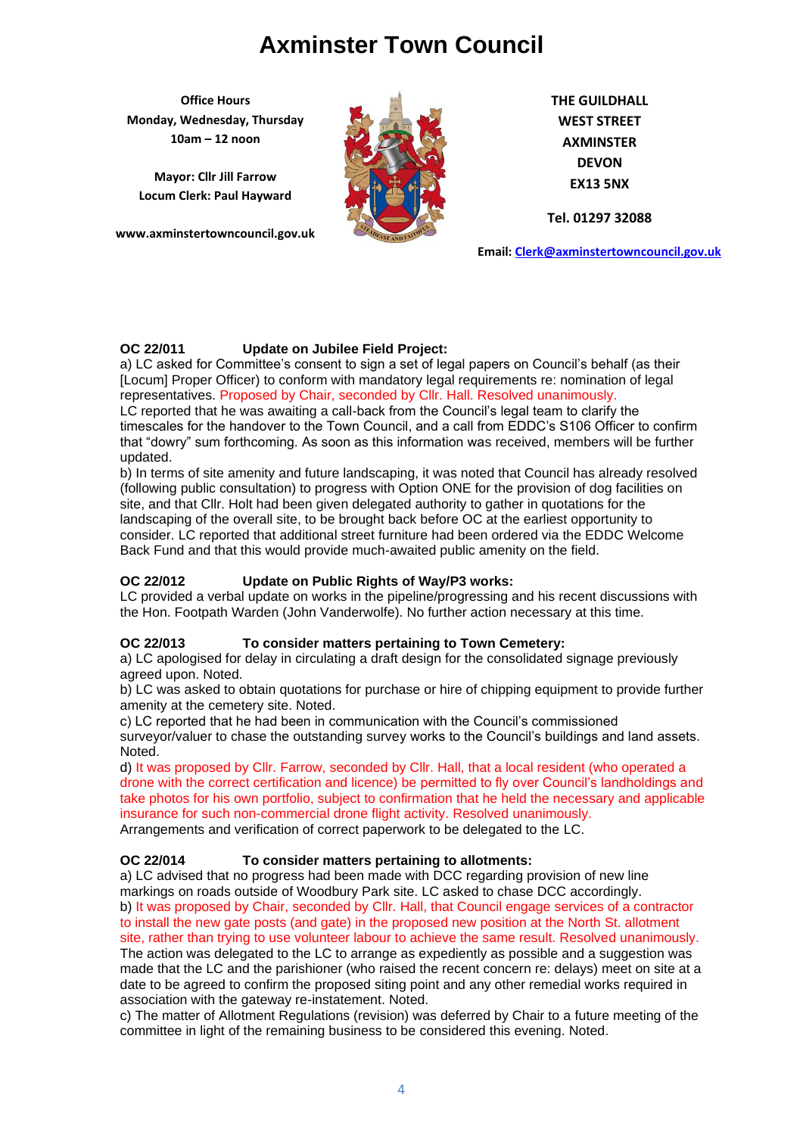**Office Hours Monday, Wednesday, Thursday 10am – 12 noon**

**Mayor: Cllr Jill Farrow Locum Clerk: Paul Hayward**

**www.axminstertowncouncil.gov.uk**



**THE GUILDHALL WEST STREET AXMINSTER DEVON EX13 5NX**

**Tel. 01297 32088**

**Email: [Clerk@axminstertowncouncil.gov.uk](file://///axm-svr-1/company/Templates/Clerk@axminstertowncouncil.gov.uk)**

# **OC 22/011 Update on Jubilee Field Project:**

Locum] Proper Officer) to conform with mandatory legal requirements re: nomination of legal a) LC asked for Committee's consent to sign a set of legal papers on Council's behalf (as their representatives. Proposed by Chair, seconded by Cllr. Hall. Resolved unanimously. LC reported that he was awaiting a call-back from the Council's legal team to clarify the

timescales for the handover to the Town Council, and a call from EDDC's S106 Officer to confirm that "dowry" sum forthcoming. As soon as this information was received, members will be further updated.

b) In terms of site amenity and future landscaping, it was noted that Council has already resolved (following public consultation) to progress with Option ONE for the provision of dog facilities on site, and that Cllr. Holt had been given delegated authority to gather in quotations for the landscaping of the overall site, to be brought back before OC at the earliest opportunity to consider. LC reported that additional street furniture had been ordered via the EDDC Welcome Back Fund and that this would provide much-awaited public amenity on the field.

# **OC 22/012 Update on Public Rights of Way/P3 works:**

LC provided a verbal update on works in the pipeline/progressing and his recent discussions with the Hon. Footpath Warden (John Vanderwolfe). No further action necessary at this time.

# **OC 22/013 To consider matters pertaining to Town Cemetery:**

a) LC apologised for delay in circulating a draft design for the consolidated signage previously agreed upon. Noted.

b) LC was asked to obtain quotations for purchase or hire of chipping equipment to provide further amenity at the cemetery site. Noted.

c) LC reported that he had been in communication with the Council's commissioned

surveyor/valuer to chase the outstanding survey works to the Council's buildings and land assets. Noted.

d) It was proposed by Cllr. Farrow, seconded by Cllr. Hall, that a local resident (who operated a drone with the correct certification and licence) be permitted to fly over Council's landholdings and take photos for his own portfolio, subject to confirmation that he held the necessary and applicable insurance for such non-commercial drone flight activity. Resolved unanimously. Arrangements and verification of correct paperwork to be delegated to the LC.

# **OC 22/014 To consider matters pertaining to allotments:**

a) LC advised that no progress had been made with DCC regarding provision of new line markings on roads outside of Woodbury Park site. LC asked to chase DCC accordingly. b) It was proposed by Chair, seconded by Cllr. Hall, that Council engage services of a contractor to install the new gate posts (and gate) in the proposed new position at the North St. allotment site, rather than trying to use volunteer labour to achieve the same result. Resolved unanimously. The action was delegated to the LC to arrange as expediently as possible and a suggestion was made that the LC and the parishioner (who raised the recent concern re: delays) meet on site at a date to be agreed to confirm the proposed siting point and any other remedial works required in association with the gateway re-instatement. Noted.

c) The matter of Allotment Regulations (revision) was deferred by Chair to a future meeting of the committee in light of the remaining business to be considered this evening. Noted.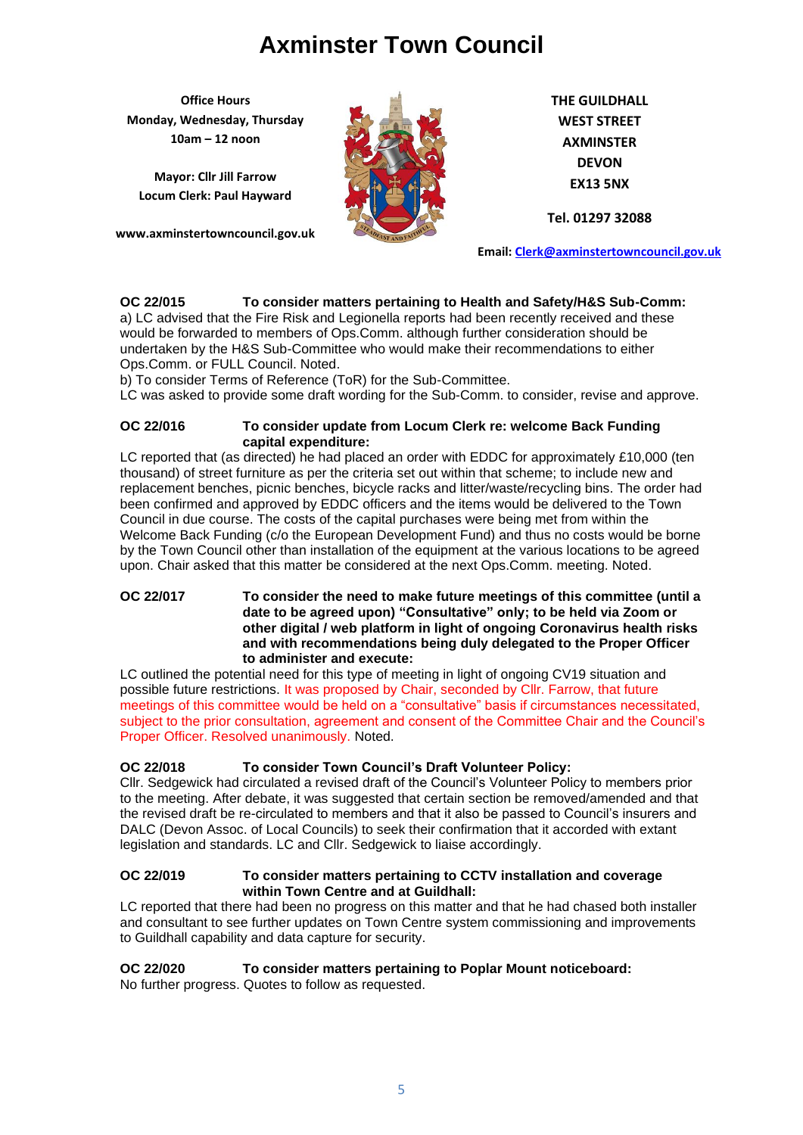**Office Hours Monday, Wednesday, Thursday 10am – 12 noon**

**Mayor: Cllr Jill Farrow Locum Clerk: Paul Hayward**

**www.axminstertowncouncil.gov.uk**



**THE GUILDHALL WEST STREET AXMINSTER DEVON EX13 5NX**

**Tel. 01297 32088**

**Email: [Clerk@axminstertowncouncil.gov.uk](file://///axm-svr-1/company/Templates/Clerk@axminstertowncouncil.gov.uk)**

# **OC 22/015 To consider matters pertaining to Health and Safety/H&S Sub-Comm:**

a) LC advised that the Fire Risk and Legionella reports had been recently received and these would be forwarded to members of Ops.Comm. although further consideration should be undertaken by the H&S Sub-Committee who would make their recommendations to either Ops.Comm. or FULL Council. Noted.

b) To consider Terms of Reference (ToR) for the Sub-Committee.

LC was asked to provide some draft wording for the Sub-Comm. to consider, revise and approve.

### **OC 22/016 To consider update from Locum Clerk re: welcome Back Funding capital expenditure:**

LC reported that (as directed) he had placed an order with EDDC for approximately £10,000 (ten thousand) of street furniture as per the criteria set out within that scheme; to include new and replacement benches, picnic benches, bicycle racks and litter/waste/recycling bins. The order had been confirmed and approved by EDDC officers and the items would be delivered to the Town Council in due course. The costs of the capital purchases were being met from within the Welcome Back Funding (c/o the European Development Fund) and thus no costs would be borne by the Town Council other than installation of the equipment at the various locations to be agreed upon. Chair asked that this matter be considered at the next Ops.Comm. meeting. Noted.

### **OC 22/017 To consider the need to make future meetings of this committee (until a date to be agreed upon) "Consultative" only; to be held via Zoom or other digital / web platform in light of ongoing Coronavirus health risks and with recommendations being duly delegated to the Proper Officer to administer and execute:**

LC outlined the potential need for this type of meeting in light of ongoing CV19 situation and possible future restrictions. It was proposed by Chair, seconded by Cllr. Farrow, that future meetings of this committee would be held on a "consultative" basis if circumstances necessitated, subject to the prior consultation, agreement and consent of the Committee Chair and the Council's Proper Officer. Resolved unanimously. Noted.

## **OC 22/018 To consider Town Council's Draft Volunteer Policy:**

Cllr. Sedgewick had circulated a revised draft of the Council's Volunteer Policy to members prior to the meeting. After debate, it was suggested that certain section be removed/amended and that the revised draft be re-circulated to members and that it also be passed to Council's insurers and DALC (Devon Assoc. of Local Councils) to seek their confirmation that it accorded with extant legislation and standards. LC and Cllr. Sedgewick to liaise accordingly.

## **OC 22/019 To consider matters pertaining to CCTV installation and coverage within Town Centre and at Guildhall:**

LC reported that there had been no progress on this matter and that he had chased both installer and consultant to see further updates on Town Centre system commissioning and improvements to Guildhall capability and data capture for security.

## **OC 22/020 To consider matters pertaining to Poplar Mount noticeboard:**

No further progress. Quotes to follow as requested.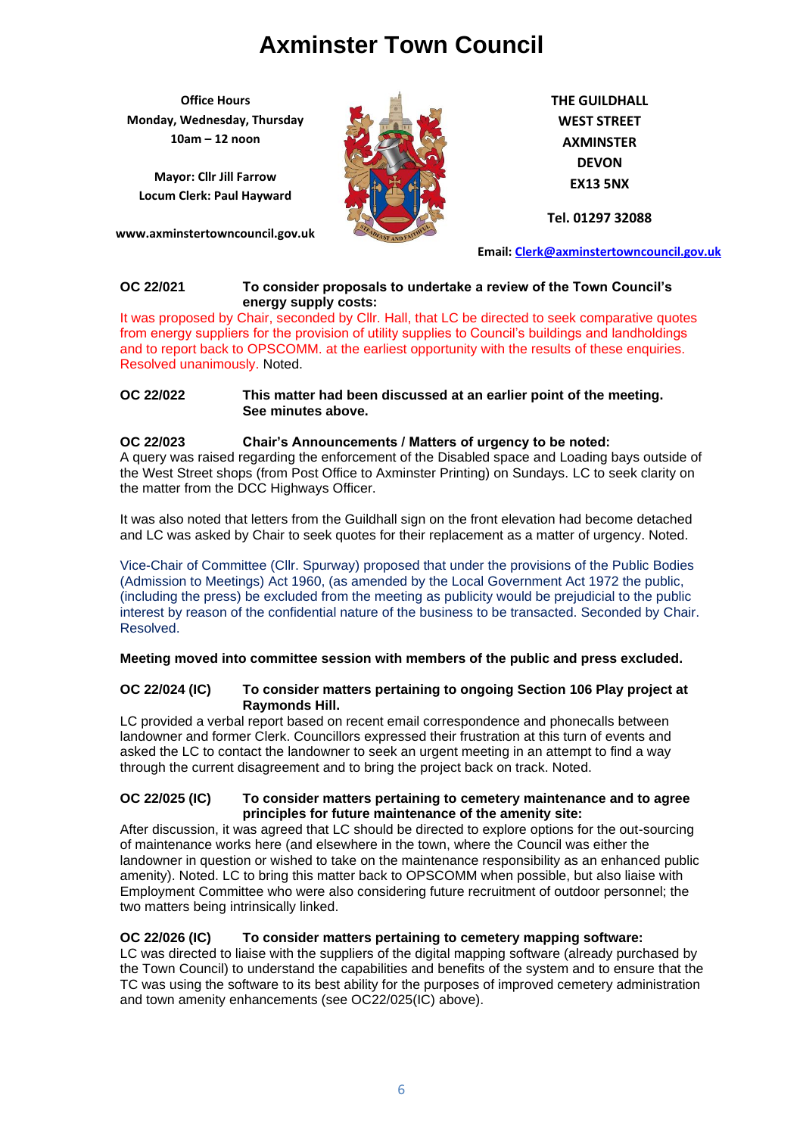**Office Hours Monday, Wednesday, Thursday 10am – 12 noon**

**Mayor: Cllr Jill Farrow Locum Clerk: Paul Hayward**

**www.axminstertowncouncil.gov.uk**



**THE GUILDHALL WEST STREET AXMINSTER DEVON EX13 5NX**

**Tel. 01297 32088**

**Email: [Clerk@axminstertowncouncil.gov.uk](file://///axm-svr-1/company/Templates/Clerk@axminstertowncouncil.gov.uk)**

#### **OC 22/021 To consider proposals to undertake a review of the Town Council's energy supply costs:**

It was proposed by Chair, seconded by Cllr. Hall, that LC be directed to seek comparative quotes from energy suppliers for the provision of utility supplies to Council's buildings and landholdings and to report back to OPSCOMM. at the earliest opportunity with the results of these enquiries. Resolved unanimously. Noted.

#### **OC 22/022 This matter had been discussed at an earlier point of the meeting. See minutes above.**

## **OC 22/023 Chair's Announcements / Matters of urgency to be noted:**

A query was raised regarding the enforcement of the Disabled space and Loading bays outside of the West Street shops (from Post Office to Axminster Printing) on Sundays. LC to seek clarity on the matter from the DCC Highways Officer.

It was also noted that letters from the Guildhall sign on the front elevation had become detached and LC was asked by Chair to seek quotes for their replacement as a matter of urgency. Noted.

Vice-Chair of Committee (Cllr. Spurway) proposed that under the provisions of the Public Bodies (Admission to Meetings) Act 1960, (as amended by the Local Government Act 1972 the public, (including the press) be excluded from the meeting as publicity would be prejudicial to the public interest by reason of the confidential nature of the business to be transacted. Seconded by Chair. Resolved.

## **Meeting moved into committee session with members of the public and press excluded.**

## **OC 22/024 (IC) To consider matters pertaining to ongoing Section 106 Play project at Raymonds Hill.**

LC provided a verbal report based on recent email correspondence and phonecalls between landowner and former Clerk. Councillors expressed their frustration at this turn of events and asked the LC to contact the landowner to seek an urgent meeting in an attempt to find a way through the current disagreement and to bring the project back on track. Noted.

### **OC 22/025 (IC) To consider matters pertaining to cemetery maintenance and to agree principles for future maintenance of the amenity site:**

After discussion, it was agreed that LC should be directed to explore options for the out-sourcing of maintenance works here (and elsewhere in the town, where the Council was either the landowner in question or wished to take on the maintenance responsibility as an enhanced public amenity). Noted. LC to bring this matter back to OPSCOMM when possible, but also liaise with Employment Committee who were also considering future recruitment of outdoor personnel; the two matters being intrinsically linked.

## **OC 22/026 (IC) To consider matters pertaining to cemetery mapping software:**

LC was directed to liaise with the suppliers of the digital mapping software (already purchased by the Town Council) to understand the capabilities and benefits of the system and to ensure that the TC was using the software to its best ability for the purposes of improved cemetery administration and town amenity enhancements (see OC22/025(IC) above).